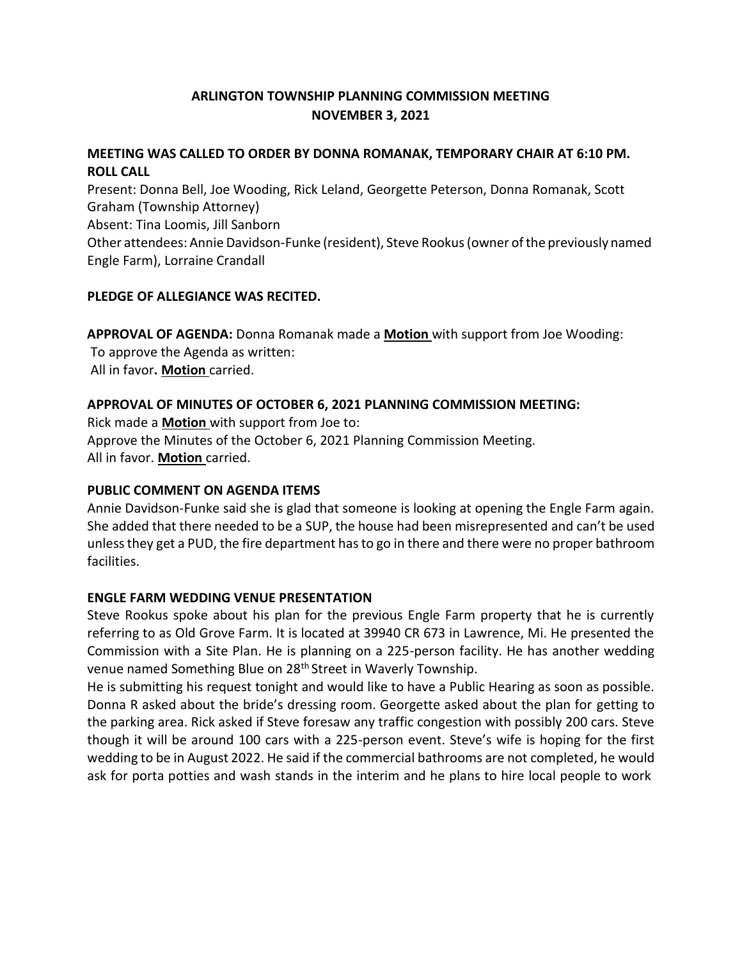# **ARLINGTON TOWNSHIP PLANNING COMMISSION MEETING NOVEMBER 3, 2021**

## **MEETING WAS CALLED TO ORDER BY DONNA ROMANAK, TEMPORARY CHAIR AT 6:10 PM. ROLL CALL**

Present: Donna Bell, Joe Wooding, Rick Leland, Georgette Peterson, Donna Romanak, Scott Graham (Township Attorney) Absent: Tina Loomis, Jill Sanborn Other attendees: Annie Davidson-Funke (resident), Steve Rookus(owner ofthe previously named Engle Farm), Lorraine Crandall

## **PLEDGE OF ALLEGIANCE WAS RECITED.**

**APPROVAL OF AGENDA:** Donna Romanak made a **Motion** with support from Joe Wooding: To approve the Agenda as written: All in favor**. Motion** carried.

## **APPROVAL OF MINUTES OF OCTOBER 6, 2021 PLANNING COMMISSION MEETING:**

Rick made a **Motion** with support from Joe to: Approve the Minutes of the October 6, 2021 Planning Commission Meeting. All in favor. **Motion** carried.

## **PUBLIC COMMENT ON AGENDA ITEMS**

Annie Davidson-Funke said she is glad that someone is looking at opening the Engle Farm again. She added that there needed to be a SUP, the house had been misrepresented and can't be used unlessthey get a PUD, the fire department hasto go in there and there were no proper bathroom facilities.

## **ENGLE FARM WEDDING VENUE PRESENTATION**

Steve Rookus spoke about his plan for the previous Engle Farm property that he is currently referring to as Old Grove Farm. It is located at 39940 CR 673 in Lawrence, Mi. He presented the Commission with a Site Plan. He is planning on a 225-person facility. He has another wedding venue named Something Blue on 28th Street in Waverly Township.

He is submitting his request tonight and would like to have a Public Hearing as soon as possible. Donna R asked about the bride's dressing room. Georgette asked about the plan for getting to the parking area. Rick asked if Steve foresaw any traffic congestion with possibly 200 cars. Steve though it will be around 100 cars with a 225-person event. Steve's wife is hoping for the first wedding to be in August 2022. He said if the commercial bathrooms are not completed, he would ask for porta potties and wash stands in the interim and he plans to hire local people to work